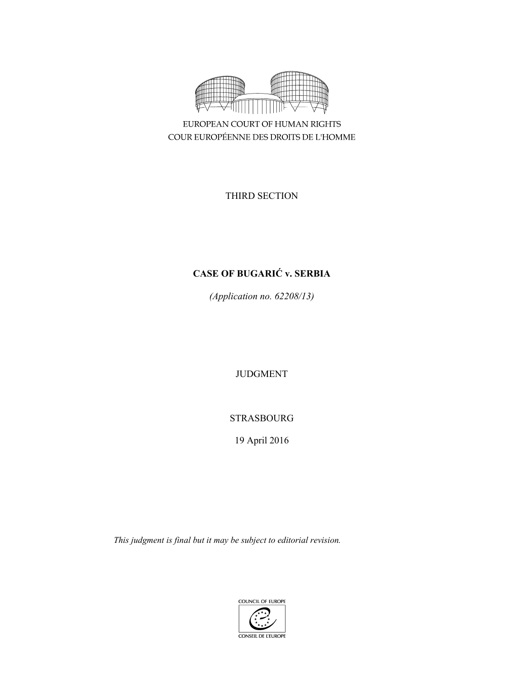

EUROPEAN COURT OF HUMAN RIGHTS COUR EUROPÉENNE DES DROITS DE L'HOMME

THIRD SECTION

# **CASE OF BUGARIĆ v. SERBIA**

*(Application no. 62208/13)* 

JUDGMENT

STRASBOURG

19 April 2016

*This judgment is final but it may be subject to editorial revision.* 

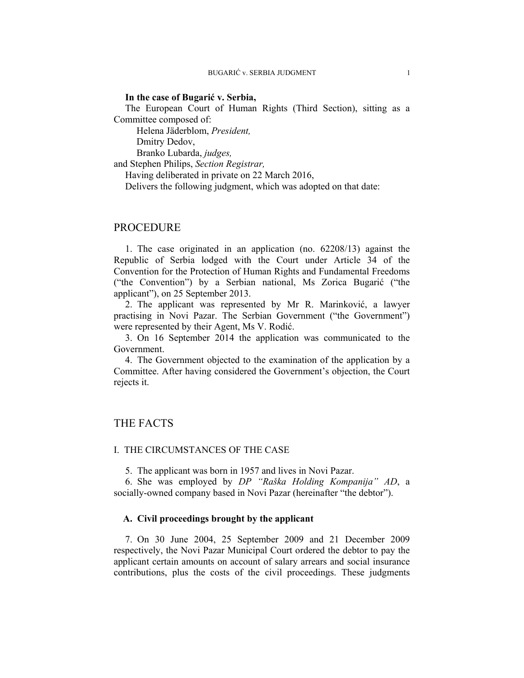### **In the case of Bugarić v. Serbia,**

The European Court of Human Rights (Third Section), sitting as a Committee composed of:

Helena Jäderblom, *President,* 

Dmitry Dedov,

Branko Lubarda, *judges,*

and Stephen Philips, *Section Registrar,*

Having deliberated in private on 22 March 2016,

Delivers the following judgment, which was adopted on that date:

# PROCEDURE

1. The case originated in an application (no. 62208/13) against the Republic of Serbia lodged with the Court under Article 34 of the Convention for the Protection of Human Rights and Fundamental Freedoms ("the Convention") by a Serbian national, Ms Zorica Bugarić ("the applicant"), on 25 September 2013.

2. The applicant was represented by Mr R. Marinković, a lawyer practising in Novi Pazar. The Serbian Government ("the Government") were represented by their Agent, Ms V. Rodić.

3. On 16 September 2014 the application was communicated to the Government.

4. The Government objected to the examination of the application by a Committee. After having considered the Government's objection, the Court rejects it.

# THE FACTS

### I. THE CIRCUMSTANCES OF THE CASE

5. The applicant was born in 1957 and lives in Novi Pazar.

6. She was employed by *DP "Raška Holding Kompanija" AD*, a socially-owned company based in Novi Pazar (hereinafter "the debtor").

### **A. Civil proceedings brought by the applicant**

7. On 30 June 2004, 25 September 2009 and 21 December 2009 respectively, the Novi Pazar Municipal Court ordered the debtor to pay the applicant certain amounts on account of salary arrears and social insurance contributions, plus the costs of the civil proceedings. These judgments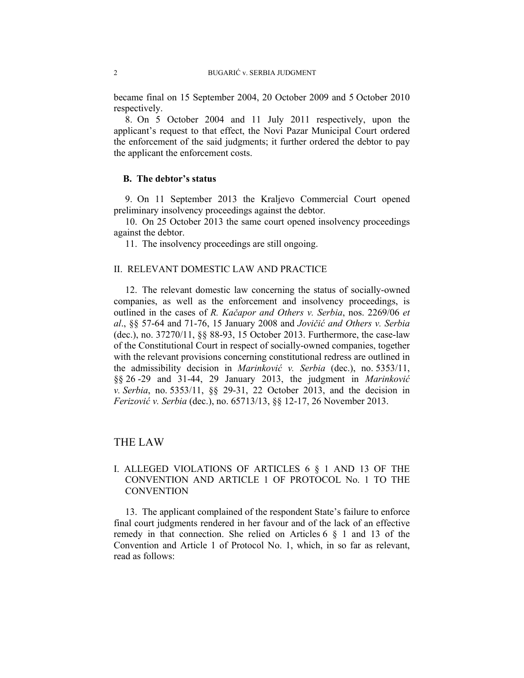became final on 15 September 2004, 20 October 2009 and 5 October 2010 respectively.

8. On 5 October 2004 and 11 July 2011 respectively, upon the applicant's request to that effect, the Novi Pazar Municipal Court ordered the enforcement of the said judgments; it further ordered the debtor to pay the applicant the enforcement costs.

# **B. The debtor's status**

9. On 11 September 2013 the Kraljevo Commercial Court opened preliminary insolvency proceedings against the debtor.

10. On 25 October 2013 the same court opened insolvency proceedings against the debtor.

11. The insolvency proceedings are still ongoing.

# II. RELEVANT DOMESTIC LAW AND PRACTICE

12. The relevant domestic law concerning the status of socially-owned companies, as well as the enforcement and insolvency proceedings, is outlined in the cases of *R. Kačapor and Others v. Serbia*, nos. 2269/06 *et al*., §§ 57-64 and 71-76, 15 January 2008 and *Jovičić and Others v. Serbia* (dec.), no. 37270/11, §§ 88-93, 15 October 2013. Furthermore, the case-law of the Constitutional Court in respect of socially-owned companies, together with the relevant provisions concerning constitutional redress are outlined in the admissibility decision in *Marinković v. Serbia* (dec.), no. 5353/11, §§ 26 -29 and 31-44, 29 January 2013, the judgment in *Marinković v. Serbia*, no. 5353/11, §§ 29-31, 22 October 2013, and the decision in *Ferizović v. Serbia* (dec.), no. 65713/13, §§ 12-17, 26 November 2013.

# THE LAW

# I. ALLEGED VIOLATIONS OF ARTICLES 6 § 1 AND 13 OF THE CONVENTION AND ARTICLE 1 OF PROTOCOL No. 1 TO THE **CONVENTION**

13. The applicant complained of the respondent State's failure to enforce final court judgments rendered in her favour and of the lack of an effective remedy in that connection. She relied on Articles 6 § 1 and 13 of the Convention and Article 1 of Protocol No. 1, which, in so far as relevant, read as follows: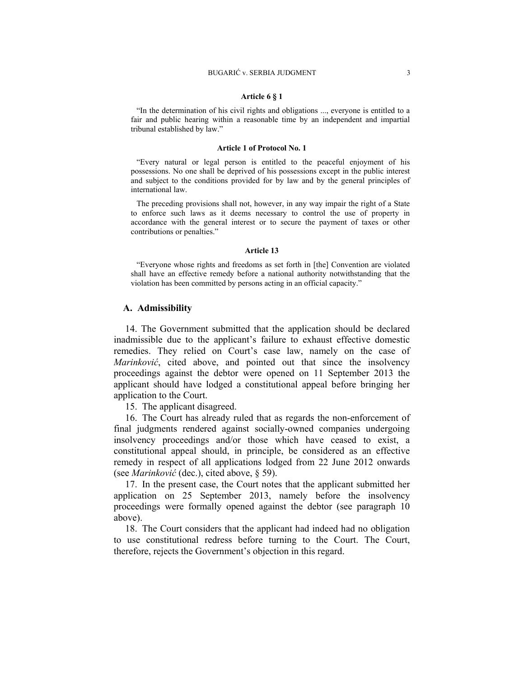#### **Article 6 § 1**

"In the determination of his civil rights and obligations ..., everyone is entitled to a fair and public hearing within a reasonable time by an independent and impartial tribunal established by law."

#### **Article 1 of Protocol No. 1**

"Every natural or legal person is entitled to the peaceful enjoyment of his possessions. No one shall be deprived of his possessions except in the public interest and subject to the conditions provided for by law and by the general principles of international law.

The preceding provisions shall not, however, in any way impair the right of a State to enforce such laws as it deems necessary to control the use of property in accordance with the general interest or to secure the payment of taxes or other contributions or penalties."

#### **Article 13**

"Everyone whose rights and freedoms as set forth in [the] Convention are violated shall have an effective remedy before a national authority notwithstanding that the violation has been committed by persons acting in an official capacity."

### **A. Admissibility**

14. The Government submitted that the application should be declared inadmissible due to the applicant's failure to exhaust effective domestic remedies. They relied on Court's case law, namely on the case of *Marinković*, cited above, and pointed out that since the insolvency proceedings against the debtor were opened on 11 September 2013 the applicant should have lodged a constitutional appeal before bringing her application to the Court.

15. The applicant disagreed.

16. The Court has already ruled that as regards the non-enforcement of final judgments rendered against socially-owned companies undergoing insolvency proceedings and/or those which have ceased to exist, a constitutional appeal should, in principle, be considered as an effective remedy in respect of all applications lodged from 22 June 2012 onwards (see *Marinković* (dec.), cited above, § 59).

17. In the present case, the Court notes that the applicant submitted her application on 25 September 2013, namely before the insolvency proceedings were formally opened against the debtor (see paragraph 10 above).

18. The Court considers that the applicant had indeed had no obligation to use constitutional redress before turning to the Court. The Court, therefore, rejects the Government's objection in this regard.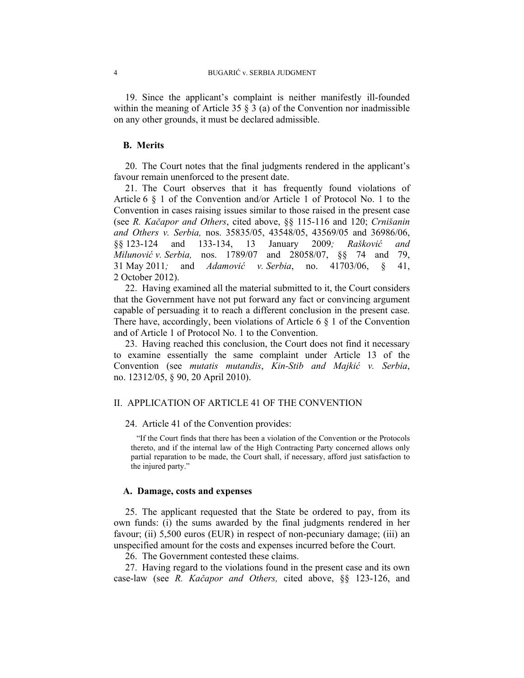19. Since the applicant's complaint is neither manifestly ill-founded within the meaning of Article 35  $\S$  3 (a) of the Convention nor inadmissible on any other grounds, it must be declared admissible.

### **B. Merits**

20. The Court notes that the final judgments rendered in the applicant's favour remain unenforced to the present date.

21. The Court observes that it has frequently found violations of Article 6 § 1 of the Convention and/or Article 1 of Protocol No. 1 to the Convention in cases raising issues similar to those raised in the present case (see *R. Kačapor and Others*, cited above, §§ 115-116 and 120; *Crnišanin and Others v. Serbia,* nos. 35835/05, 43548/05, 43569/05 and 36986/06, §§ 123-124 and 133-134, 13 January 2009*; Rašković and Milunović v. Serbia,* nos. 1789/07 and 28058/07, §§ 74 and 79, 31 May 2011*;* and *Adamović v. Serbia*, no. 41703/06, § 41, 2 October 2012).

22. Having examined all the material submitted to it, the Court considers that the Government have not put forward any fact or convincing argument capable of persuading it to reach a different conclusion in the present case. There have, accordingly, been violations of Article 6  $\S$  1 of the Convention and of Article 1 of Protocol No. 1 to the Convention.

23. Having reached this conclusion, the Court does not find it necessary to examine essentially the same complaint under Article 13 of the Convention (see *mutatis mutandis*, *Kin-Stib and Majkić v. Serbia*, no. 12312/05, § 90, 20 April 2010).

# II. APPLICATION OF ARTICLE 41 OF THE CONVENTION

# 24. Article 41 of the Convention provides:

"If the Court finds that there has been a violation of the Convention or the Protocols thereto, and if the internal law of the High Contracting Party concerned allows only partial reparation to be made, the Court shall, if necessary, afford just satisfaction to the injured party."

#### **A. Damage, costs and expenses**

25. The applicant requested that the State be ordered to pay, from its own funds: (i) the sums awarded by the final judgments rendered in her favour; (ii) 5,500 euros (EUR) in respect of non-pecuniary damage; (iii) an unspecified amount for the costs and expenses incurred before the Court.

26. The Government contested these claims.

27. Having regard to the violations found in the present case and its own case-law (see *R. Kačapor and Others,* cited above, §§ 123-126, and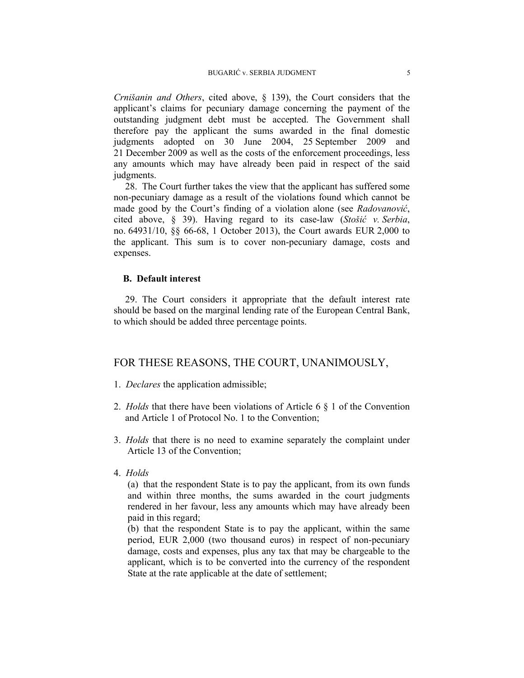*Crnišanin and Others*, cited above, § 139), the Court considers that the applicant's claims for pecuniary damage concerning the payment of the outstanding judgment debt must be accepted. The Government shall therefore pay the applicant the sums awarded in the final domestic judgments adopted on 30 June 2004, 25 September 2009 and 21 December 2009 as well as the costs of the enforcement proceedings, less any amounts which may have already been paid in respect of the said judgments.

28. The Court further takes the view that the applicant has suffered some non-pecuniary damage as a result of the violations found which cannot be made good by the Court's finding of a violation alone (see *Radovanović*, cited above, § 39). Having regard to its case-law (*Stošić v. Serbia*, no. 64931/10, §§ 66-68, 1 October 2013), the Court awards EUR 2,000 to the applicant. This sum is to cover non-pecuniary damage, costs and expenses.

# **B. Default interest**

29. The Court considers it appropriate that the default interest rate should be based on the marginal lending rate of the European Central Bank, to which should be added three percentage points.

# FOR THESE REASONS, THE COURT, UNANIMOUSLY,

- 1. *Declares* the application admissible;
- 2. *Holds* that there have been violations of Article 6 § 1 of the Convention and Article 1 of Protocol No. 1 to the Convention;
- 3. *Holds* that there is no need to examine separately the complaint under Article 13 of the Convention;
- 4. *Holds*

(a) that the respondent State is to pay the applicant, from its own funds and within three months, the sums awarded in the court judgments rendered in her favour, less any amounts which may have already been paid in this regard;

(b) that the respondent State is to pay the applicant, within the same period, EUR 2,000 (two thousand euros) in respect of non-pecuniary damage, costs and expenses, plus any tax that may be chargeable to the applicant, which is to be converted into the currency of the respondent State at the rate applicable at the date of settlement;